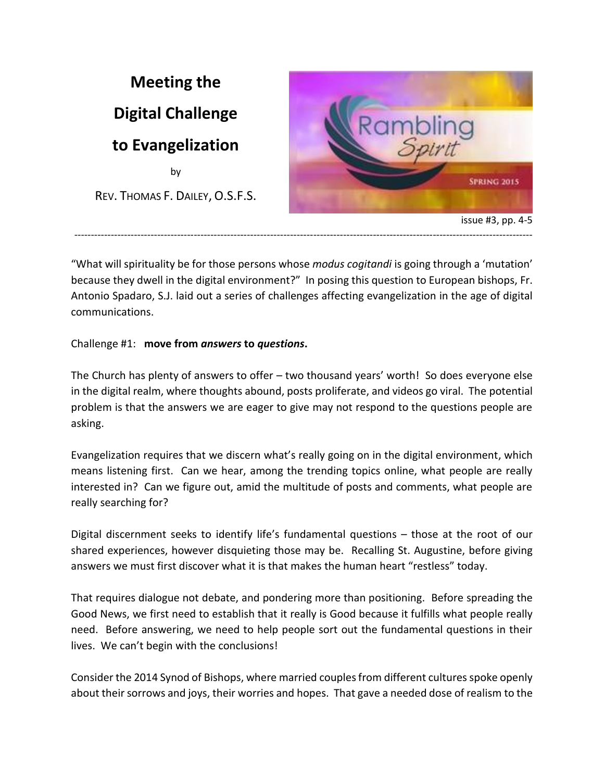

"What will spirituality be for those persons whose *modus cogitandi* is going through a 'mutation' because they dwell in the digital environment?" In posing this question to European bishops, Fr. Antonio Spadaro, S.J. laid out a series of challenges affecting evangelization in the age of digital communications.

# Challenge #1: **move from** *answers* **to** *questions***.**

The Church has plenty of answers to offer – two thousand years' worth! So does everyone else in the digital realm, where thoughts abound, posts proliferate, and videos go viral. The potential problem is that the answers we are eager to give may not respond to the questions people are asking.

Evangelization requires that we discern what's really going on in the digital environment, which means listening first. Can we hear, among the trending topics online, what people are really interested in? Can we figure out, amid the multitude of posts and comments, what people are really searching for?

Digital discernment seeks to identify life's fundamental questions – those at the root of our shared experiences, however disquieting those may be. Recalling St. Augustine, before giving answers we must first discover what it is that makes the human heart "restless" today.

That requires dialogue not debate, and pondering more than positioning. Before spreading the Good News, we first need to establish that it really is Good because it fulfills what people really need. Before answering, we need to help people sort out the fundamental questions in their lives. We can't begin with the conclusions!

Consider the 2014 Synod of Bishops, where married couples from different cultures spoke openly about their sorrows and joys, their worries and hopes. That gave a needed dose of realism to the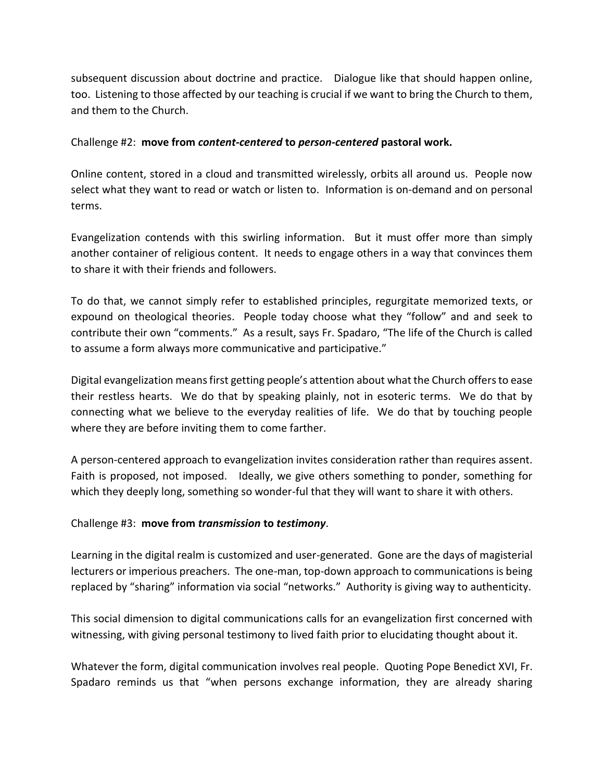subsequent discussion about doctrine and practice. Dialogue like that should happen online, too. Listening to those affected by our teaching is crucial if we want to bring the Church to them, and them to the Church.

### Challenge #2: **move from** *content-centered* **to** *person-centered* **pastoral work.**

Online content, stored in a cloud and transmitted wirelessly, orbits all around us. People now select what they want to read or watch or listen to. Information is on-demand and on personal terms.

Evangelization contends with this swirling information. But it must offer more than simply another container of religious content. It needs to engage others in a way that convinces them to share it with their friends and followers.

To do that, we cannot simply refer to established principles, regurgitate memorized texts, or expound on theological theories. People today choose what they "follow" and and seek to contribute their own "comments." As a result, says Fr. Spadaro, "The life of the Church is called to assume a form always more communicative and participative."

Digital evangelization means first getting people's attention about what the Church offersto ease their restless hearts. We do that by speaking plainly, not in esoteric terms. We do that by connecting what we believe to the everyday realities of life. We do that by touching people where they are before inviting them to come farther.

A person-centered approach to evangelization invites consideration rather than requires assent. Faith is proposed, not imposed. Ideally, we give others something to ponder, something for which they deeply long, something so wonder-ful that they will want to share it with others.

#### Challenge #3: **move from** *transmission* **to** *testimony*.

Learning in the digital realm is customized and user-generated. Gone are the days of magisterial lecturers or imperious preachers. The one-man, top-down approach to communications is being replaced by "sharing" information via social "networks." Authority is giving way to authenticity.

This social dimension to digital communications calls for an evangelization first concerned with witnessing, with giving personal testimony to lived faith prior to elucidating thought about it.

Whatever the form, digital communication involves real people. Quoting Pope Benedict XVI, Fr. Spadaro reminds us that "when persons exchange information, they are already sharing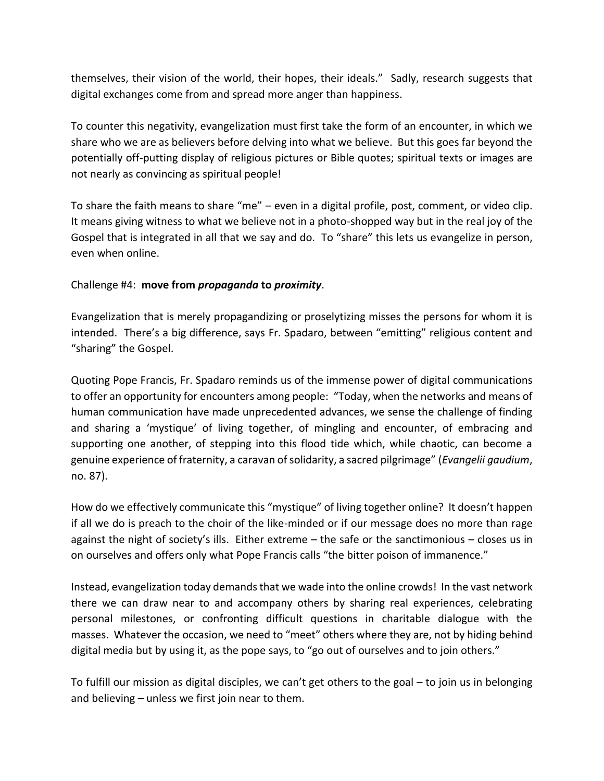themselves, their vision of the world, their hopes, their ideals." Sadly, research suggests that digital exchanges come from and spread more anger than happiness.

To counter this negativity, evangelization must first take the form of an encounter, in which we share who we are as believers before delving into what we believe. But this goes far beyond the potentially off-putting display of religious pictures or Bible quotes; spiritual texts or images are not nearly as convincing as spiritual people!

To share the faith means to share "me" – even in a digital profile, post, comment, or video clip. It means giving witness to what we believe not in a photo-shopped way but in the real joy of the Gospel that is integrated in all that we say and do. To "share" this lets us evangelize in person, even when online.

## Challenge #4: **move from** *propaganda* **to** *proximity*.

Evangelization that is merely propagandizing or proselytizing misses the persons for whom it is intended. There's a big difference, says Fr. Spadaro, between "emitting" religious content and "sharing" the Gospel.

Quoting Pope Francis, Fr. Spadaro reminds us of the immense power of digital communications to offer an opportunity for encounters among people: "Today, when the networks and means of human communication have made unprecedented advances, we sense the challenge of finding and sharing a 'mystique' of living together, of mingling and encounter, of embracing and supporting one another, of stepping into this flood tide which, while chaotic, can become a genuine experience of fraternity, a caravan of solidarity, a sacred pilgrimage" (*Evangelii gaudium*, no. 87).

How do we effectively communicate this "mystique" of living together online? It doesn't happen if all we do is preach to the choir of the like-minded or if our message does no more than rage against the night of society's ills. Either extreme – the safe or the sanctimonious – closes us in on ourselves and offers only what Pope Francis calls "the bitter poison of immanence."

Instead, evangelization today demands that we wade into the online crowds! In the vast network there we can draw near to and accompany others by sharing real experiences, celebrating personal milestones, or confronting difficult questions in charitable dialogue with the masses. Whatever the occasion, we need to "meet" others where they are, not by hiding behind digital media but by using it, as the pope says, to "go out of ourselves and to join others."

To fulfill our mission as digital disciples, we can't get others to the goal – to join us in belonging and believing – unless we first join near to them.